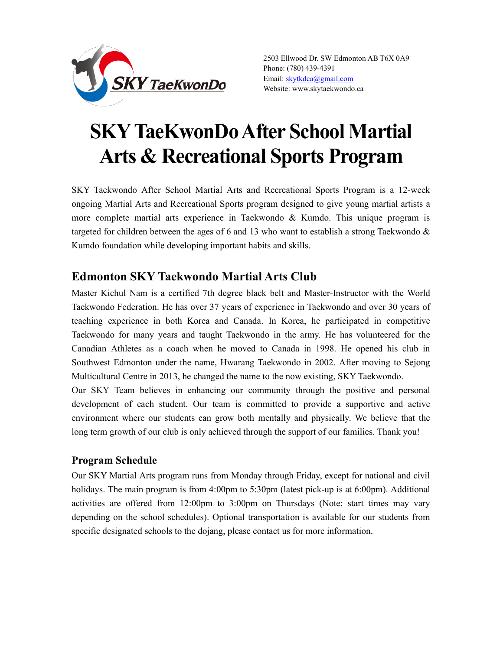

2503 Ellwood Dr. SW Edmonton AB T6X 0A9 Phone: (780) 439-4391 Email: skytkdca@gmail.com Website: www.skytaekwondo.ca

# SKY TaeKwonDo After School Martial Arts & Recreational Sports Program

SKY Taekwondo After School Martial Arts and Recreational Sports Program is a 12-week ongoing Martial Arts and Recreational Sports program designed to give young martial artists a more complete martial arts experience in Taekwondo & Kumdo. This unique program is targeted for children between the ages of 6 and 13 who want to establish a strong Taekwondo & Kumdo foundation while developing important habits and skills.

## Edmonton SKY Taekwondo Martial Arts Club

Master Kichul Nam is a certified 7th degree black belt and Master-Instructor with the World Taekwondo Federation. He has over 37 years of experience in Taekwondo and over 30 years of teaching experience in both Korea and Canada. In Korea, he participated in competitive Taekwondo for many years and taught Taekwondo in the army. He has volunteered for the Canadian Athletes as a coach when he moved to Canada in 1998. He opened his club in Southwest Edmonton under the name, Hwarang Taekwondo in 2002. After moving to Sejong Multicultural Centre in 2013, he changed the name to the now existing, SKY Taekwondo.

Our SKY Team believes in enhancing our community through the positive and personal development of each student. Our team is committed to provide a supportive and active environment where our students can grow both mentally and physically. We believe that the long term growth of our club is only achieved through the support of our families. Thank you!

## Program Schedule

Our SKY Martial Arts program runs from Monday through Friday, except for national and civil holidays. The main program is from 4:00pm to 5:30pm (latest pick-up is at 6:00pm). Additional activities are offered from 12:00pm to 3:00pm on Thursdays (Note: start times may vary depending on the school schedules). Optional transportation is available for our students from specific designated schools to the dojang, please contact us for more information.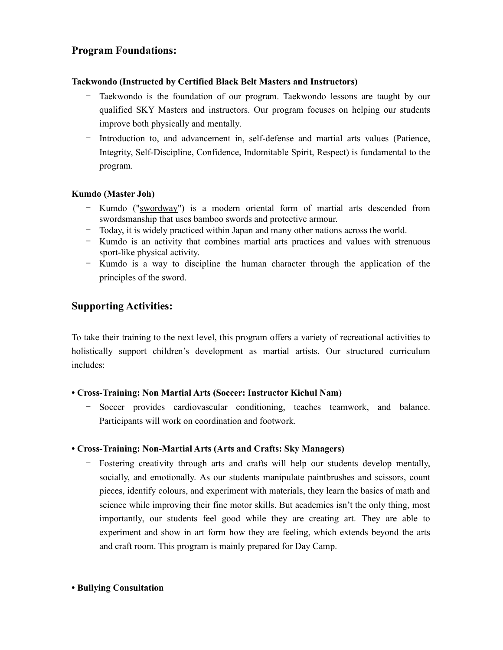## Program Foundations:

## Taekwondo (Instructed by Certified Black Belt Masters and Instructors)

- Taekwondo is the foundation of our program. Taekwondo lessons are taught by our qualified SKY Masters and instructors. Our program focuses on helping our students improve both physically and mentally.
- Introduction to, and advancement in, self-defense and martial arts values (Patience, Integrity, Self-Discipline, Confidence, Indomitable Spirit, Respect) is fundamental to the program.

### Kumdo (Master Joh)

- Kumdo ("swordway") is a modern oriental form of martial arts descended from swordsmanship that uses bamboo swords and protective armour.
- Today, it is widely practiced within Japan and many other nations across the world.
- Kumdo is an activity that combines martial arts practices and values with strenuous sport-like physical activity.
- Kumdo is a way to discipline the human character through the application of the principles of the sword.

## Supporting Activities:

To take their training to the next level, this program offers a variety of recreational activities to holistically support children's development as martial artists. Our structured curriculum includes:

## • Cross-Training: Non Martial Arts (Soccer: Instructor Kichul Nam)

Soccer provides cardiovascular conditioning, teaches teamwork, and balance. Participants will work on coordination and footwork.

## • Cross-Training: Non-Martial Arts (Arts and Crafts: Sky Managers)

- Fostering creativity through arts and crafts will help our students develop mentally, socially, and emotionally. As our students manipulate paintbrushes and scissors, count pieces, identify colours, and experiment with materials, they learn the basics of math and science while improving their fine motor skills. But academics isn't the only thing, most importantly, our students feel good while they are creating art. They are able to experiment and show in art form how they are feeling, which extends beyond the arts and craft room. This program is mainly prepared for Day Camp.

#### • Bullying Consultation